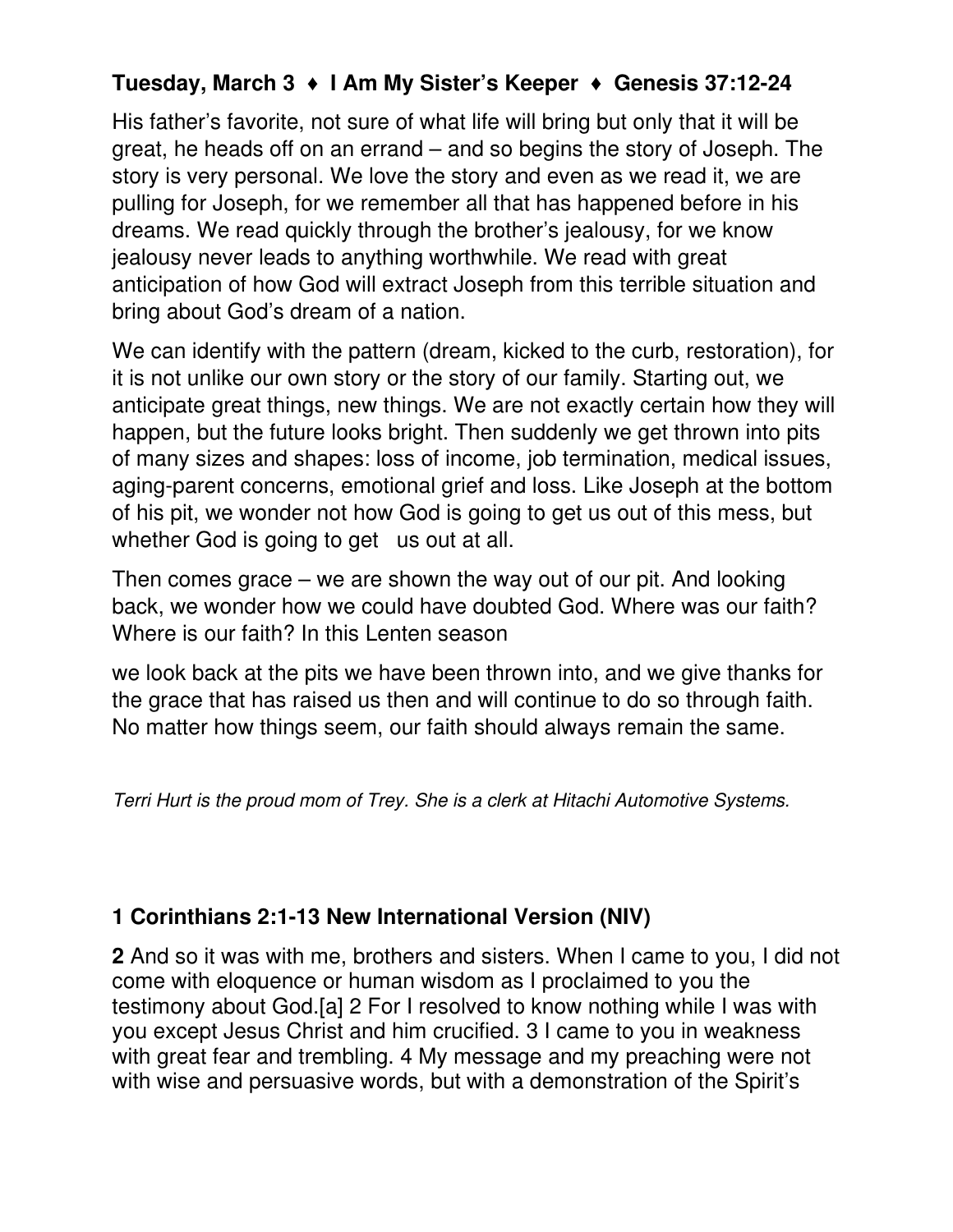## **Tuesday, March 3** ♦ **I Am My Sister's Keeper** ♦ **Genesis 37:12-24**

His father's favorite, not sure of what life will bring but only that it will be great, he heads off on an errand – and so begins the story of Joseph. The story is very personal. We love the story and even as we read it, we are pulling for Joseph, for we remember all that has happened before in his dreams. We read quickly through the brother's jealousy, for we know jealousy never leads to anything worthwhile. We read with great anticipation of how God will extract Joseph from this terrible situation and bring about God's dream of a nation.

We can identify with the pattern (dream, kicked to the curb, restoration), for it is not unlike our own story or the story of our family. Starting out, we anticipate great things, new things. We are not exactly certain how they will happen, but the future looks bright. Then suddenly we get thrown into pits of many sizes and shapes: loss of income, job termination, medical issues, aging-parent concerns, emotional grief and loss. Like Joseph at the bottom of his pit, we wonder not how God is going to get us out of this mess, but whether God is going to get us out at all.

Then comes grace – we are shown the way out of our pit. And looking back, we wonder how we could have doubted God. Where was our faith? Where is our faith? In this Lenten season

we look back at the pits we have been thrown into, and we give thanks for the grace that has raised us then and will continue to do so through faith. No matter how things seem, our faith should always remain the same.

Terri Hurt is the proud mom of Trey. She is a clerk at Hitachi Automotive Systems.

## **1 Corinthians 2:1-13 New International Version (NIV)**

**2** And so it was with me, brothers and sisters. When I came to you, I did not come with eloquence or human wisdom as I proclaimed to you the testimony about God.[a] 2 For I resolved to know nothing while I was with you except Jesus Christ and him crucified. 3 I came to you in weakness with great fear and trembling. 4 My message and my preaching were not with wise and persuasive words, but with a demonstration of the Spirit's